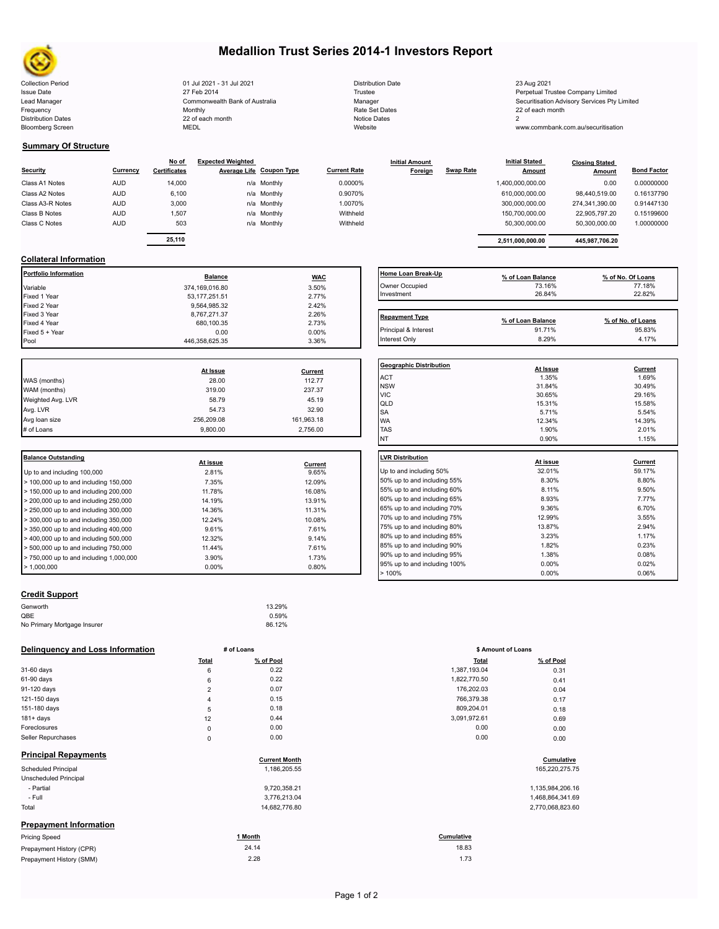

Bloomberg Screen

# **Medallion Trust Series 2014-1 Investors Report**

Collection Period 23 Aug 2021 2021 - 21 Jul 2021 2021 2021 Distribution Date 23 Aug 2021 23 Aug 2021 Issue Date **Trustee Company Limited** 27 Feb 2014 27 Feb 2014 **Trustee Trustee Company Limited** Perpetual Trustee Company Limited Lead Manager **Manager** Securitisation Advisory Services Pty Limited Commonwealth Bank of Australia Manager **Manager** Securitisation Advisory Services Pty Limited Frequency 22 of each month Monthly Monthly Rate Set Dates Rate Set Dates 22 of each month Distribution Dates **Notice 2** and the control of the 22 of each month **Notice Dates** Notice Dates 2 27 Feb 2014 Commonwealth Bank of Australia Monthly 22 of each month

| Distribution Date |
|-------------------|
| Trustee           |
| Manager           |
| Rate Set Dates    |
| Notice Dates      |
| Website           |

www.commbank.com.au/securitisation

ACT 1.35% 1.69% NSW 31.84% 30.49%

# **Summary Of Structure**

**Collateral Information**

|                  |            | No of               | <b>Expected Weighted</b> |                          |                     | <b>Initial Amount</b> |                  | <b>Initial Stated</b> | <b>Closing Stated</b> |                    |
|------------------|------------|---------------------|--------------------------|--------------------------|---------------------|-----------------------|------------------|-----------------------|-----------------------|--------------------|
| <b>Security</b>  | Currency   | <b>Certificates</b> |                          | Average Life Coupon Type | <b>Current Rate</b> | Foreign               | <b>Swap Rate</b> | <b>Amount</b>         | Amount                | <b>Bond Factor</b> |
| Class A1 Notes   | <b>AUD</b> | 14.000              |                          | n/a Monthly              | 0.0000%             |                       |                  | 1,400,000,000.00      | 0.00                  | 0.00000000         |
| Class A2 Notes   | <b>AUD</b> | 6.100               |                          | n/a Monthly              | 0.9070%             |                       |                  | 610.000.000.00        | 98.440.519.00         | 0.16137790         |
| Class A3-R Notes | <b>AUD</b> | 3,000               |                          | n/a Monthly              | 1.0070%             |                       |                  | 300.000.000.00        | 274.341.390.00        | 0.91447130         |
| Class B Notes    | <b>AUD</b> | 1.507               |                          | n/a Monthly              | Withheld            |                       |                  | 150.700.000.00        | 22.905.797.20         | 0.15199600         |
| Class C Notes    | <b>AUD</b> | 503                 |                          | n/a Monthly              | Withheld            |                       |                  | 50.300.000.00         | 50,300,000.00         | 1.00000000         |
|                  |            |                     |                          |                          |                     |                       |                  |                       |                       |                    |
|                  |            | 25,110              |                          |                          |                     |                       |                  | 2.511.000.000.00      | 445,987,706.20        |                    |

Fixed 5 + Year contracts the contract of the contract of the contract of the contract of the contract of the contract of the contract of the contract of the contract of the contract of the contract of the contract of the c Pool Pool 2.35 3.36% and 2.35 and 3.36% and 3.36% and 3.36% and 3.36% and 3.36% and 3.36% and 3.36% and 3.36% and 3.36% and 3.36% and 3.36% and 3.36% and 3.36% and 3.36% and 3.36% and 3.36% and 3.36% and 3.36% and 3.36% an

| olialei al IIII di Malioni |                 |            |                       |                   |                   |
|----------------------------|-----------------|------------|-----------------------|-------------------|-------------------|
| Portfolio Information      | <b>Balance</b>  | <b>WAC</b> | Home Loan Break-Up    | % of Loan Balance | % of No. Of Loans |
| Variable                   | 374,169,016.80  | 3.50%      | Owner Occupied        | 73.16%            | 77.18%            |
| Fixed 1 Year               | 53, 177, 251.51 | 2.77%      | Investment            | 26.84%            | 22.82%            |
| Fixed 2 Year               | 9.564.985.32    | 2.42%      |                       |                   |                   |
| Fixed 3 Year               | 8,767,271.37    | 2.26%      | <b>Repayment Type</b> |                   |                   |
| Fixed 4 Year               | 680,100.35      | 2.73%      |                       | % of Loan Balance | % of No. of Loans |
| Fixed 5 + Year             | 0.00            | $0.00\%$   | Principal & Interest  | 91.71%            | 95.83%            |
| Pool                       | 446 358 625 35  | 3.36%      | Interest Only         | 8.29%             | 4.17%             |

**Geographic Distribution At Issue Current**

|                   | At Issue   | Current    |  |
|-------------------|------------|------------|--|
| WAS (months)      | 28.00      | 112.77     |  |
| WAM (months)      | 319.00     | 237.37     |  |
| Weighted Avg. LVR | 58.79      | 45.19      |  |
| Avg. LVR          | 54.73      | 32.90      |  |
| Avg loan size     | 256,209.08 | 161,963.18 |  |
| # of Loans        | 9,800.00   | 2,756.00   |  |

| <b>Balance Outstanding</b>                                | At issue | Current | LVR Distribution    |
|-----------------------------------------------------------|----------|---------|---------------------|
| Up to and including 100,000                               | 2.81%    | 9.65%   | Up to and including |
| $>$ 100,000 up to and including 150,000                   | 7.35%    | 12.09%  | 50% up to and incl  |
| $>$ 150,000 up to and including 200,000                   | 11.78%   | 16.08%  | 55% up to and incl  |
| $>$ 200,000 up to and including 250,000                   | 14.19%   | 13.91%  | 60% up to and incl  |
| $\geq$ 250,000 up to and including 300,000                | 14.36%   | 11.31%  | 65% up to and incl  |
| $\geq$ 300,000 up to and including 350,000                | 12.24%   | 10.08%  | 70% up to and incl  |
| $\blacktriangleright$ 350,000 up to and including 400,000 | 9.61%    | 7.61%   | 75% up to and incl  |
| $>$ 400,000 up to and including 500,000                   | 12.32%   | 9.14%   | 80% up to and incl  |
| $>$ 500,000 up to and including 750,000                   | 11.44%   | 7.61%   | 85% up to and incl  |
| $> 750,000$ up to and including 1,000,000                 | 3.90%    | 1.73%   | 90% up to and incl  |
| $\blacktriangleright$ 1.000.000                           | $0.00\%$ | 0.80%   | 95% up to and incl  |

## **Credit Support**

| Genworth                    | 13.29% |
|-----------------------------|--------|
| QBE                         | 0.59%  |
| No Primary Mortgage Insurer | 86.12% |

### **Delinquency and Loss Information # of Loans**

|                               | Total          | % of Pool            | <b>Total</b> | % of Pool        |
|-------------------------------|----------------|----------------------|--------------|------------------|
| 31-60 days                    | 6              | 0.22                 | 1,387,193.04 | 0.31             |
| 61-90 days                    | 6              | 0.22                 | 1,822,770.50 | 0.41             |
| 91-120 days                   | $\overline{2}$ | 0.07                 | 176,202.03   | 0.04             |
| 121-150 days                  | 4              | 0.15                 | 766,379.38   | 0.17             |
| 151-180 days                  | 5              | 0.18                 | 809,204.01   | 0.18             |
| $181 + days$                  | 12             | 0.44                 | 3,091,972.61 | 0.69             |
| Foreclosures                  | $\mathsf 0$    | 0.00                 | 0.00         | 0.00             |
| Seller Repurchases            | $\mathsf 0$    | 0.00                 | 0.00         | 0.00             |
| <b>Principal Repayments</b>   |                | <b>Current Month</b> |              | Cumulative       |
| <b>Scheduled Principal</b>    |                | 1,186,205.55         |              | 165,220,275.75   |
| Unscheduled Principal         |                |                      |              |                  |
| - Partial                     |                | 9,720,358.21         |              | 1,135,984,206.16 |
| - Full                        |                | 3,776,213.04         |              | 1,468,864,341.69 |
| Total                         |                | 14,682,776.80        |              | 2,770,068,823.60 |
| <b>Prepayment Information</b> |                |                      |              |                  |
| <b>Pricing Speed</b>          |                | 1 Month              | Cumulative   |                  |
| Prepayment History (CPR)      |                | 24.14                | 18.83        |                  |
| Prepayment History (SMM)      |                | 2.28                 | 1.73         |                  |

| <b>VIC</b>                   | 30.65%   | 29.16%  |
|------------------------------|----------|---------|
| QLD                          | 15.31%   | 15.58%  |
| SA                           | 5.71%    | 5.54%   |
| <b>WA</b>                    | 12.34%   | 14.39%  |
| <b>TAS</b>                   | 1.90%    | 2.01%   |
| <b>NT</b>                    | 0.90%    | 1.15%   |
|                              |          |         |
| <b>LVR Distribution</b>      | At issue | Current |
| Up to and including 50%      | 32.01%   | 59.17%  |
| 50% up to and including 55%  | 8.30%    | 8.80%   |
| 55% up to and including 60%  | 8.11%    | 9.50%   |
| 60% up to and including 65%  | 8.93%    | 7.77%   |
| 65% up to and including 70%  | 9.36%    | 6.70%   |
| 70% up to and including 75%  | 12.99%   | 3.55%   |
| 75% up to and including 80%  | 13.87%   | 2.94%   |
| 80% up to and including 85%  | 3.23%    | 1.17%   |
| 85% up to and including 90%  | 1.82%    | 0.23%   |
| 90% up to and including 95%  | 1.38%    | 0.08%   |
| 95% up to and including 100% | 0.00%    | 0.02%   |
| >100%                        | 0.00%    | 0.06%   |
|                              |          |         |

|       | # of Loans | \$ Amount of Loans |           |  |
|-------|------------|--------------------|-----------|--|
| Total | % of Pool  | Total              | % of Pool |  |
| 6     | 0.22       | 1,387,193.04       | 0.31      |  |
| 6     | 0.22       | 1,822,770.50       | 0.41      |  |
| 2     | 0.07       | 176,202.03         | 0.04      |  |
| 4     | 0.15       | 766,379.38         | 0.17      |  |
| 5     | 0.18       | 809,204.01         | 0.18      |  |
| 12    | 0.44       | 3,091,972.61       | 0.69      |  |
| 0     | 0.00       | 0.00               | 0.00      |  |
| 0     | 0.00       | 0.00               | 0.00      |  |

| 1,135,984,206.1 |
|-----------------|
| 1,468,864,341.6 |
| 2,770,068,823.6 |